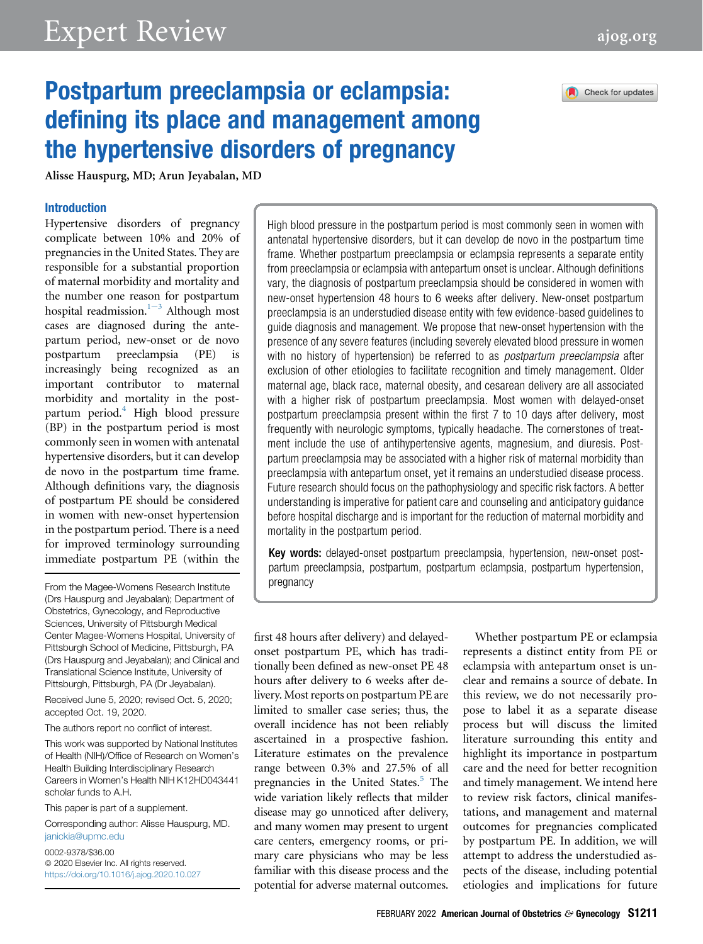# Expert Review [ajog.org](http://www.AJOG.org)



## Postpartum preeclampsia or eclampsia: defining its place and management among the hypertensive disorders of pregnancy

 $A = \begin{pmatrix} 1 & 0 \\ 0 & 1 \end{pmatrix}$ 

#### Introduction

Hypertensive disorders of pregnancy complicate between 10% and 20% of pregnancies in the United States. They are responsible for a substantial proportion of maternal morbidity and mortality and the number one reason for postpartum hospital r[e](#page-8-0)admission. $1-3$  Although most cases are diagnosed during the antepartum period, new-onset or de novo postpartum preeclampsia (PE) is increasingly being recognized as an important contributor to maternal morbidity and mortality in the postpartum period.<sup>4</sup> High blood pressure (BP) in the postpartum period is most commonly seen in women with antenatal hypertensive disorders, but it can develop de novo in the postpartum time frame. Although definitions vary, the diagnosis of postpartum PE should be considered in women with new-onset hypertension in the postpartum period. There is a need for improved terminology surrounding immediate postpartum PE (within the

From the Magee-Womens Research Institute (Drs Hauspurg and Jeyabalan); Department of Obstetrics, Gynecology, and Reproductive Sciences, University of Pittsburgh Medical Center Magee-Womens Hospital, University of Pittsburgh School of Medicine, Pittsburgh, PA (Drs Hauspurg and Jeyabalan); and Clinical and Translational Science Institute, University of Pittsburgh, Pittsburgh, PA (Dr Jeyabalan).

Received June 5, 2020; revised Oct. 5, 2020; accepted Oct. 19, 2020.

The authors report no conflict of interest.

This work was supported by National Institutes of Health (NIH)/Office of Research on Women's Health Building Interdisciplinary Research Careers in Women's Health NIH K12HD043441 scholar funds to A.H.

This paper is part of a supplement.

Corresponding author: Alisse Hauspurg, MD. [janickia@upmc.edu](mailto:janickia@upmc.edu)

0002-9378/\$36.00  $@$  2020 Elsevier Inc. All rights reserved. <https://doi.org/10.1016/j.ajog.2020.10.027> High blood pressure in the postpartum period is most commonly seen in women with antenatal hypertensive disorders, but it can develop de novo in the postpartum time frame. Whether postpartum preeclampsia or eclampsia represents a separate entity from preeclampsia or eclampsia with antepartum onset is unclear. Although definitions vary, the diagnosis of postpartum preeclampsia should be considered in women with new-onset hypertension 48 hours to 6 weeks after delivery. New-onset postpartum preeclampsia is an understudied disease entity with few evidence-based guidelines to guide diagnosis and management. We propose that new-onset hypertension with the presence of any severe features (including severely elevated blood pressure in women with no history of hypertension) be referred to as *postpartum preeclampsia* after exclusion of other etiologies to facilitate recognition and timely management. Older maternal age, black race, maternal obesity, and cesarean delivery are all associated with a higher risk of postpartum preeclampsia. Most women with delayed-onset postpartum preeclampsia present within the first 7 to 10 days after delivery, most frequently with neurologic symptoms, typically headache. The cornerstones of treatment include the use of antihypertensive agents, magnesium, and diuresis. Postpartum preeclampsia may be associated with a higher risk of maternal morbidity than preeclampsia with antepartum onset, yet it remains an understudied disease process. Future research should focus on the pathophysiology and specific risk factors. A better understanding is imperative for patient care and counseling and anticipatory guidance before hospital discharge and is important for the reduction of maternal morbidity and mortality in the postpartum period.

Key words: delayed-onset postpartum preeclampsia, hypertension, new-onset postpartum preeclampsia, postpartum, postpartum eclampsia, postpartum hypertension, pregnancy

first 48 hours after delivery) and delayedonset postpartum PE, which has traditionally been defined as new-onset PE 48 hours after delivery to 6 weeks after delivery. Most reports on postpartum PE are limited to smaller case series; thus, the overall incidence has not been reliably ascertained in a prospective fashion. Literature estimates on the prevalence range between 0.3% and 27.5% of all pregnancies in the United States.<sup>5</sup> The wide variation likely reflects that milder disease may go unnoticed after delivery, and many women may present to urgent care centers, emergency rooms, or primary care physicians who may be less familiar with this disease process and the potential for adverse maternal outcomes.

Whether postpartum PE or eclampsia represents a distinct entity from PE or eclampsia with antepartum onset is unclear and remains a source of debate. In this review, we do not necessarily propose to label it as a separate disease process but will discuss the limited literature surrounding this entity and highlight its importance in postpartum care and the need for better recognition and timely management. We intend here to review risk factors, clinical manifestations, and management and maternal outcomes for pregnancies complicated by postpartum PE. In addition, we will attempt to address the understudied aspects of the disease, including potential etiologies and implications for future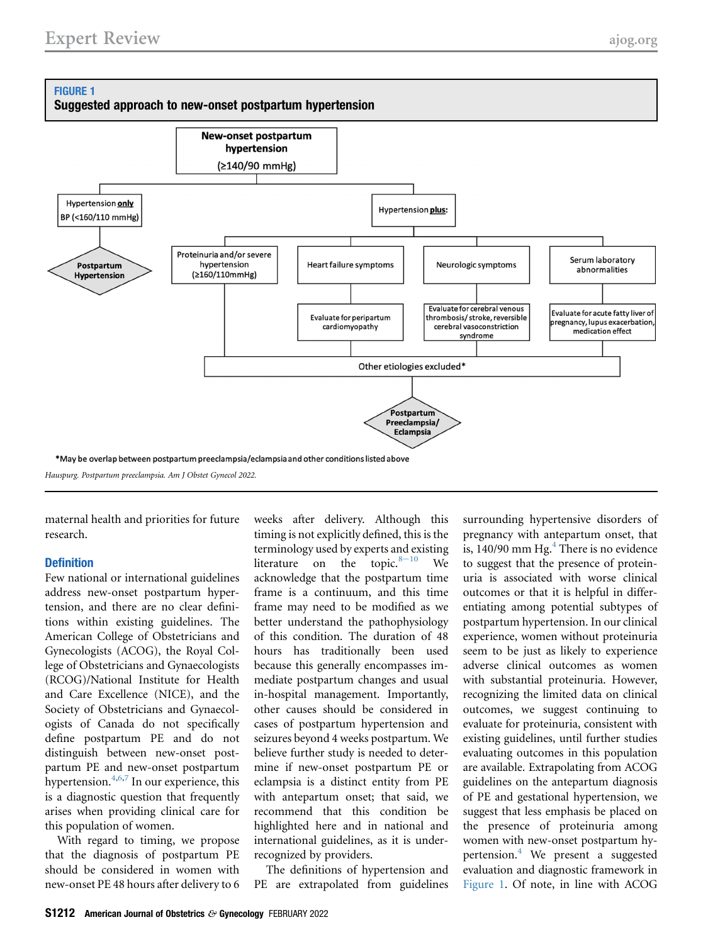## <span id="page-1-0"></span>FIGURE 1





maternal health and priorities for future research.

#### **Definition**

Few national or international guidelines address new-onset postpartum hypertension, and there are no clear definitions within existing guidelines. The American College of Obstetricians and Gynecologists (ACOG), the Royal College of Obstetricians and Gynaecologists (RCOG)/National Institute for Health and Care Excellence (NICE), and the Society of Obstetricians and Gynaecologists of Canada do not specifically define postpartum PE and do not distinguish between new-onset postpartum PE and new-onset postpartum hypertension. $4,6,7$  $4,6,7$  $4,6,7$  $4,6,7$  In our experience, this is a diagnostic question that frequently arises when providing clinical care for this population of women.

With regard to timing, we propose that the diagnosis of postpartum PE should be considered in women with new-onset PE 48 hours after delivery to 6 weeks after delivery. Although this timing is not explicitly defined, this is the terminology used by experts and existing literature on the topic. $8-10$  $8-10$  We acknowledge that the postpartum time frame is a continuum, and this time frame may need to be modified as we better understand the pathophysiology of this condition. The duration of 48 hours has traditionally been used because this generally encompasses immediate postpartum changes and usual in-hospital management. Importantly, other causes should be considered in cases of postpartum hypertension and seizures beyond 4 weeks postpartum. We believe further study is needed to determine if new-onset postpartum PE or eclampsia is a distinct entity from PE with antepartum onset; that said, we recommend that this condition be highlighted here and in national and international guidelines, as it is underrecognized by providers.

The definitions of hypertension and PE are extrapolated from guidelines surrounding hypertensive disorders of pregnancy with antepartum onset, that is,  $140/90$  $140/90$  $140/90$  mm Hg. $<sup>4</sup>$  There is no evidence</sup> to suggest that the presence of proteinuria is associated with worse clinical outcomes or that it is helpful in differentiating among potential subtypes of postpartum hypertension. In our clinical experience, women without proteinuria seem to be just as likely to experience adverse clinical outcomes as women with substantial proteinuria. However, recognizing the limited data on clinical outcomes, we suggest continuing to evaluate for proteinuria, consistent with existing guidelines, until further studies evaluating outcomes in this population are available. Extrapolating from ACOG guidelines on the antepartum diagnosis of PE and gestational hypertension, we suggest that less emphasis be placed on the presence of proteinuria among women with new-onset postpartum hy-pertension.<sup>[4](#page-8-1)</sup> We present a suggested evaluation and diagnostic framework in [Figure 1.](#page-1-0) Of note, in line with ACOG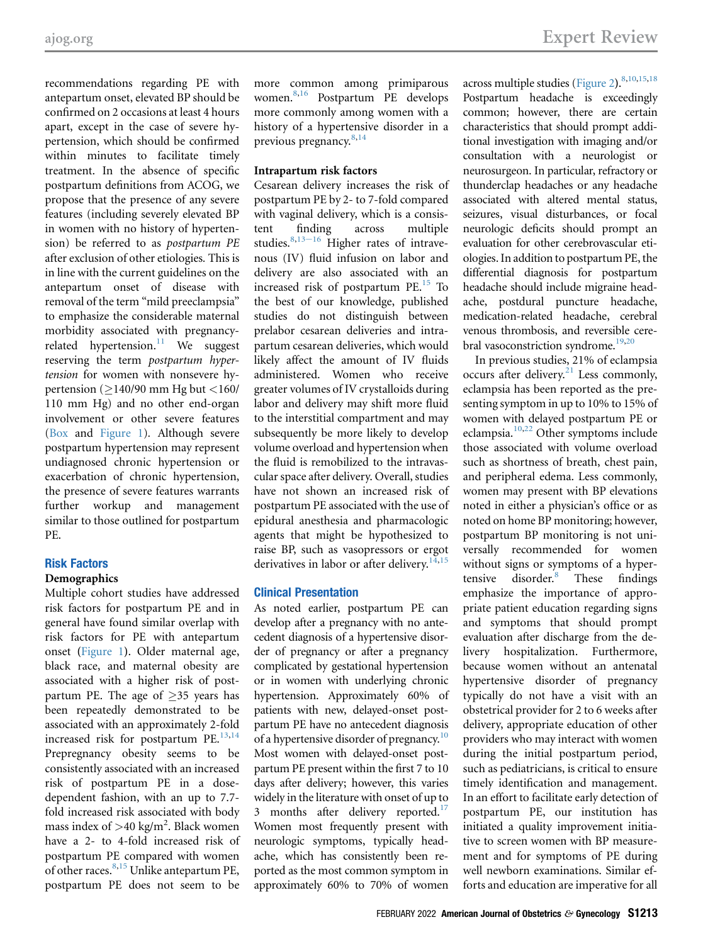recommendations regarding PE with antepartum onset, elevated BP should be confirmed on 2 occasions at least 4 hours apart, except in the case of severe hypertension, which should be confirmed within minutes to facilitate timely treatment. In the absence of specific postpartum definitions from ACOG, we propose that the presence of any severe features (including severely elevated BP in women with no history of hypertension) be referred to as postpartum PE after exclusion of other etiologies. This is in line with the current guidelines on the antepartum onset of disease with removal of the term "mild preeclampsia" to emphasize the considerable maternal morbidity associated with pregnancyrelated hypertension. $11$  We suggest reserving the term postpartum hypertension for women with nonsevere hypertension ( $\geq$ 140/90 mm Hg but <160/ 110 mm Hg) and no other end-organ involvement or other severe features (Box and [Figure 1\)](#page-1-0). Although severe postpartum hypertension may represent undiagnosed chronic hypertension or exacerbation of chronic hypertension, the presence of severe features warrants further workup and management similar to those outlined for postpartum PE.

#### Risk Factors

#### Demographics

Multiple cohort studies have addressed risk factors for postpartum PE and in general have found similar overlap with risk factors for PE with antepartum onset ([Figure 1](#page-1-0)). Older maternal age, black race, and maternal obesity are associated with a higher risk of postpartum PE. The age of  $\geq$ 35 years has been repeatedly demonstrated to be associated with an approximately 2-fold increased risk for postpartum  $PE.^{13,14}$  $PE.^{13,14}$  $PE.^{13,14}$  $PE.^{13,14}$ Prepregnancy obesity seems to be consistently associated with an increased risk of postpartum PE in a dosedependent fashion, with an up to 7.7 fold increased risk associated with body mass index of  $>$ 40 kg/m<sup>2</sup>. Black women have a 2- to 4-fold increased risk of postpartum PE compared with women of other races. $8,15$  $8,15$  Unlike antepartum PE, postpartum PE does not seem to be

more common among primiparous women[.8,](#page-8-7)[16](#page-9-3) Postpartum PE develops more commonly among women with a history of a hypertensive disorder in a previous pregnancy.[8](#page-8-7)[,14](#page-9-1)

## Intrapartum risk factors

Cesarean delivery increases the risk of postpartum PE by 2- to 7-fold compared with vaginal delivery, which is a consistent finding across multiple studies.  $8,13-16$  $8,13-16$  $8,13-16$  Higher rates of intravenous (IV) fluid infusion on labor and delivery are also associated with an increased risk of postpartum  $PE.<sup>15</sup>$  $PE.<sup>15</sup>$  $PE.<sup>15</sup>$  To the best of our knowledge, published studies do not distinguish between prelabor cesarean deliveries and intrapartum cesarean deliveries, which would likely affect the amount of IV fluids administered. Women who receive greater volumes of IV crystalloids during labor and delivery may shift more fluid to the interstitial compartment and may subsequently be more likely to develop volume overload and hypertension when the fluid is remobilized to the intravascular space after delivery. Overall, studies have not shown an increased risk of postpartum PE associated with the use of epidural anesthesia and pharmacologic agents that might be hypothesized to raise BP, such as vasopressors or ergot derivatives in labor or after delivery.<sup>[14](#page-9-1)[,15](#page-9-2)</sup>

#### Clinical Presentation

As noted earlier, postpartum PE can develop after a pregnancy with no antecedent diagnosis of a hypertensive disorder of pregnancy or after a pregnancy complicated by gestational hypertension or in women with underlying chronic hypertension. Approximately 60% of patients with new, delayed-onset postpartum PE have no antecedent diagnosis of a hypertensive disorder of pregnancy.<sup>[10](#page-8-5)</sup> Most women with delayed-onset postpartum PE present within the first 7 to 10 days after delivery; however, this varies widely in the literature with onset of up to 3 months after delivery reported.<sup>[17](#page-9-4)</sup> Women most frequently present with neurologic symptoms, typically headache, which has consistently been reported as the most common symptom in approximately 60% to 70% of women

across multiple studies [\(Figure 2](#page-4-0)).<sup>[8,](#page-8-7)[10,](#page-8-5)[15](#page-9-2),[18](#page-9-5)</sup> Postpartum headache is exceedingly common; however, there are certain characteristics that should prompt additional investigation with imaging and/or consultation with a neurologist or neurosurgeon. In particular, refractory or thunderclap headaches or any headache associated with altered mental status, seizures, visual disturbances, or focal neurologic deficits should prompt an evaluation for other cerebrovascular etiologies. In addition to postpartum PE, the differential diagnosis for postpartum headache should include migraine headache, postdural puncture headache, medication-related headache, cerebral venous thrombosis, and reversible cere-bral vasoconstriction syndrome.<sup>[19,](#page-9-6)[20](#page-9-7)</sup>

In previous studies, 21% of eclampsia occurs after delivery.<sup>[21](#page-9-8)</sup> Less commonly, eclampsia has been reported as the presenting symptom in up to 10% to 15% of women with delayed postpartum PE or eclampsia. $10,22$  $10,22$  $10,22$  Other symptoms include those associated with volume overload such as shortness of breath, chest pain, and peripheral edema. Less commonly, women may present with BP elevations noted in either a physician's office or as noted on home BP monitoring; however, postpartum BP monitoring is not universally recommended for women without signs or symptoms of a hyper-tensive disorder.<sup>[8](#page-8-7)</sup> These findings emphasize the importance of appropriate patient education regarding signs and symptoms that should prompt evaluation after discharge from the delivery hospitalization. Furthermore, because women without an antenatal hypertensive disorder of pregnancy typically do not have a visit with an obstetrical provider for 2 to 6 weeks after delivery, appropriate education of other providers who may interact with women during the initial postpartum period, such as pediatricians, is critical to ensure timely identification and management. In an effort to facilitate early detection of postpartum PE, our institution has initiated a quality improvement initiative to screen women with BP measurement and for symptoms of PE during well newborn examinations. Similar efforts and education are imperative for all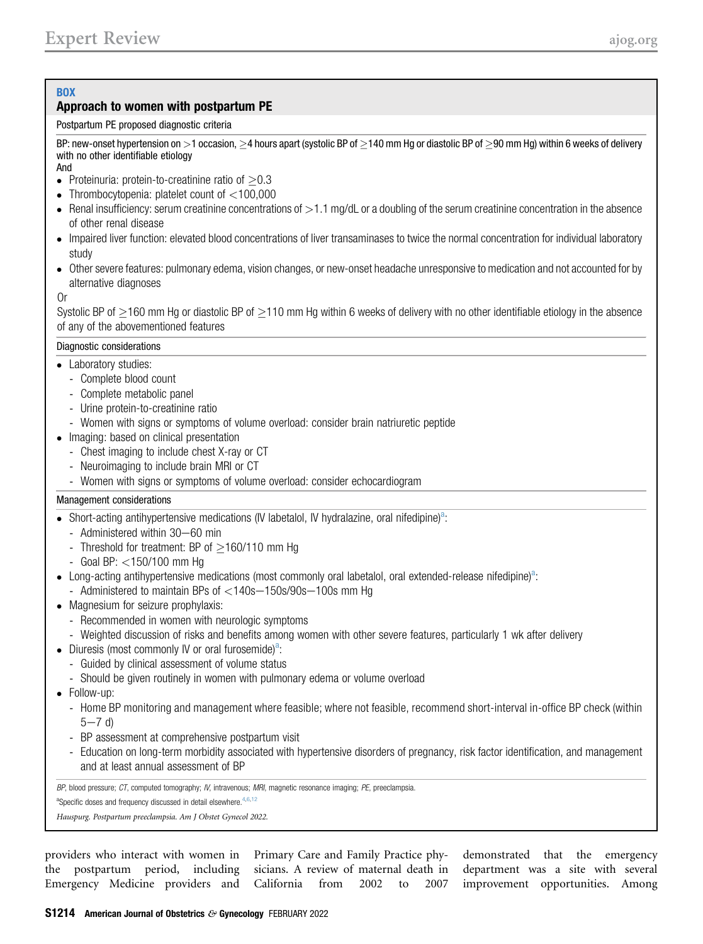## **BOX**

## Approach to women with postpartum PE

## Postpartum PE proposed diagnostic criteria

BP: new-onset hypertension on >1 occasion,  $\geq$ 4 hours apart (systolic BP of  $\geq$ 140 mm Hg or diastolic BP of  $\geq$ 90 mm Hg) within 6 weeks of delivery with no other identifiable etiology

And

- Proteinuria: protein-to-creatinine ratio of  $\geq$ 0.3
- Thrombocytopenia: platelet count of  $<$ 100,000
- Renal insufficiency: serum creatinine concentrations of  $>1.1$  mg/dL or a doubling of the serum creatinine concentration in the absence of other renal disease
- Impaired liver function: elevated blood concentrations of liver transaminases to twice the normal concentration for individual laboratory study
- Other severe features: pulmonary edema, vision changes, or new-onset headache unresponsive to medication and not accounted for by alternative diagnoses

## Or

Systolic BP of  $\geq$ 160 mm Hg or diastolic BP of  $\geq$ 110 mm Hg within 6 weeks of delivery with no other identifiable etiology in the absence of any of the abovementioned features

#### Diagnostic considerations

- Laboratory studies:
	- Complete blood count
	- Complete metabolic panel
	- Urine protein-to-creatinine ratio
	- Women with signs or symptoms of volume overload: consider brain natriuretic peptide
- Imaging: based on clinical presentation
	- Chest imaging to include chest X-ray or CT
	- Neuroimaging to include brain MRI or CT
	- Women with signs or symptoms of volume overload: consider echocardiogram

## Management considerations

- Short-acting antihypertensive medications (IV labetalol, IV hydralazine, oral nifedipine)<sup>a</sup>:
	- Administered within  $30-60$  min
	- Threshold for treatment: BP of  $>$ 160/110 mm Hg
	- Goal BP: <150/100 mm Hg
- $\bullet$  Long-acting antihypertensive medications (most commonly oral labetalol, oral extended-release nifedipine)<sup>a</sup>:
	- Administered to maintain BPs of  $<$ 140s $-$ 150s/90s $-$ 100s mm Hg
- Magnesium for seizure prophylaxis:
	- Recommended in women with neurologic symptoms
	- Weighted discussion of risks and benefits among women with other severe features, particularly 1 wk after delivery
- Diuresis (most commonly IV or oral furosemide)<sup>a</sup>:
	- Guided by clinical assessment of volume status
	- Should be given routinely in women with pulmonary edema or volume overload
- Follow-up:
	- Home BP monitoring and management where feasible; where not feasible, recommend short-interval in-office BP check (within  $5 - 7 d$
	- BP assessment at comprehensive postpartum visit
	- Education on long-term morbidity associated with hypertensive disorders of pregnancy, risk factor identification, and management and at least annual assessment of BP

BP, blood pressure; CT, computed tomography; IV, intravenous; MRI, magnetic resonance imaging; PE, preeclampsia.

<sup>a</sup>Specific doses and frequency discussed in detail elsewhere.<sup>[4](#page-8-1)[,6,](#page-8-3)[12](#page-9-10)</sup>

Hauspurg. Postpartum preeclampsia. Am J Obstet Gynecol 2022.

providers who interact with women in Primary Care and Family Practice phythe postpartum period, including sicians. A review of maternal death in Emergency Medicine providers and California from 2002 to 2007 demonstrated that the emergency department was a site with several improvement opportunities. Among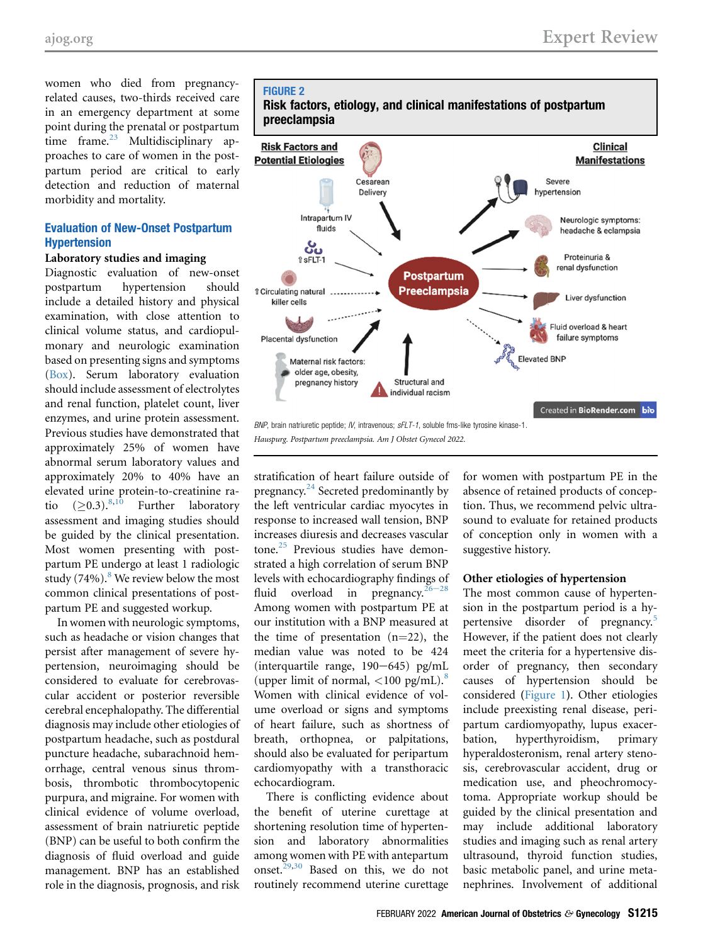women who died from pregnancyrelated causes, two-thirds received care in an emergency department at some point during the prenatal or postpartum time frame.<sup>[23](#page-9-11)</sup> Multidisciplinary approaches to care of women in the postpartum period are critical to early detection and reduction of maternal morbidity and mortality.

## Evaluation of New-Onset Postpartum Hypertension

#### Laboratory studies and imaging

Diagnostic evaluation of new-onset postpartum hypertension should include a detailed history and physical examination, with close attention to clinical volume status, and cardiopulmonary and neurologic examination based on presenting signs and symptoms (Box). Serum laboratory evaluation should include assessment of electrolytes and renal function, platelet count, liver enzymes, and urine protein assessment. Previous studies have demonstrated that approximately 25% of women have abnormal serum laboratory values and approximately 20% to 40% have an elevated urine protein-to-creatinine ra-<br>tio  $(>0.3)^{8,10}$  Further laboratory tio  $(>0.3)$ .<sup>[8](#page-8-7)[,10](#page-8-5)</sup> Further laboratory assessment and imaging studies should be guided by the clinical presentation. Most women presenting with postpartum PE undergo at least 1 radiologic study  $(74\%)$ .<sup>[8](#page-8-7)</sup> We review below the most common clinical presentations of postpartum PE and suggested workup.

In women with neurologic symptoms, such as headache or vision changes that persist after management of severe hypertension, neuroimaging should be considered to evaluate for cerebrovascular accident or posterior reversible cerebral encephalopathy. The differential diagnosis may include other etiologies of postpartum headache, such as postdural puncture headache, subarachnoid hemorrhage, central venous sinus thrombosis, thrombotic thrombocytopenic purpura, and migraine. For women with clinical evidence of volume overload, assessment of brain natriuretic peptide (BNP) can be useful to both confirm the diagnosis of fluid overload and guide management. BNP has an established role in the diagnosis, prognosis, and risk

#### <span id="page-4-0"></span>FIGURE 2



stratification of heart failure outside of pregnancy.<sup>[24](#page-9-12)</sup> Secreted predominantly by the left ventricular cardiac myocytes in response to increased wall tension, BNP increases diuresis and decreases vascular tone.<sup>[25](#page-9-13)</sup> Previous studies have demonstrated a high correlation of serum BNP levels with echocardiography findings of fluid overload in pregnancy.<sup>26–</sup> Among women with postpartum PE at our institution with a BNP measured at the time of presentation  $(n=22)$ , the median value was noted to be 424 (interquartile range,  $190-645$ ) pg/mL (upper limit of normal,  $\langle 100 \text{ pg/mL} \rangle$ .<sup>[8](#page-8-7)</sup> Women with clinical evidence of volume overload or signs and symptoms of heart failure, such as shortness of breath, orthopnea, or palpitations, should also be evaluated for peripartum cardiomyopathy with a transthoracic echocardiogram.

There is conflicting evidence about the benefit of uterine curettage at shortening resolution time of hypertension and laboratory abnormalities among women with PE with antepartum onset.<sup>[29](#page-9-15),[30](#page-9-16)</sup> Based on this, we do not routinely recommend uterine curettage

for women with postpartum PE in the absence of retained products of conception. Thus, we recommend pelvic ultrasound to evaluate for retained products of conception only in women with a suggestive history.

#### Other etiologies of hypertension

The most common cause of hypertension in the postpartum period is a hypertensive disorder of pregnancy.[5](#page-8-2) However, if the patient does not clearly meet the criteria for a hypertensive disorder of pregnancy, then secondary causes of hypertension should be considered ([Figure 1](#page-1-0)). Other etiologies include preexisting renal disease, peripartum cardiomyopathy, lupus exacerbation, hyperthyroidism, primary hyperaldosteronism, renal artery stenosis, cerebrovascular accident, drug or medication use, and pheochromocytoma. Appropriate workup should be guided by the clinical presentation and may include additional laboratory studies and imaging such as renal artery ultrasound, thyroid function studies, basic metabolic panel, and urine metanephrines. Involvement of additional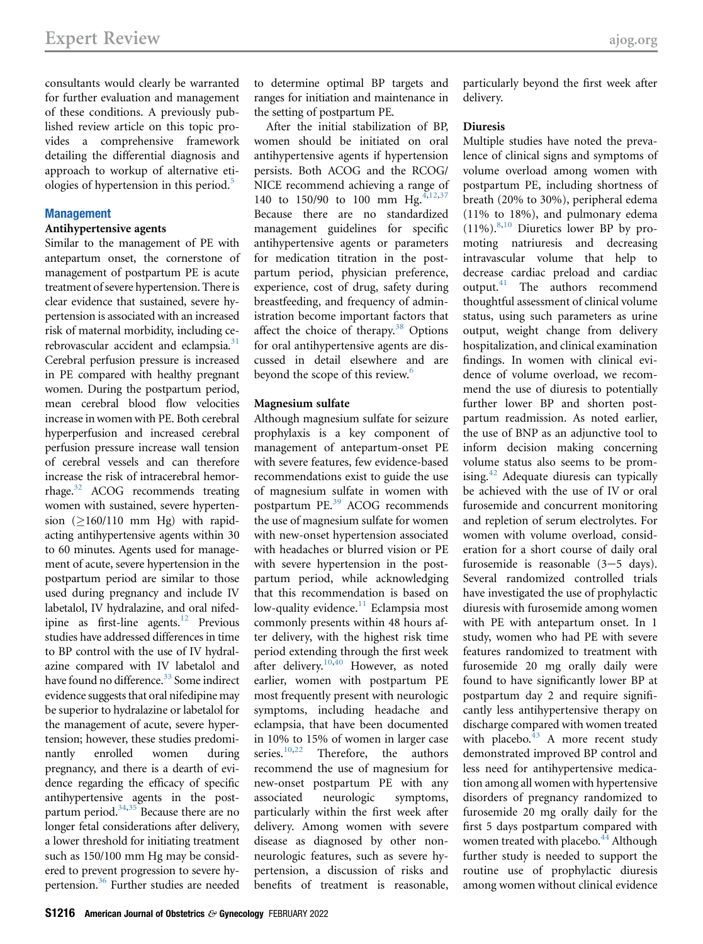consultants would clearly be warranted for further evaluation and management of these conditions. A previously published review article on this topic provides a comprehensive framework detailing the differential diagnosis and approach to workup of alternative eti-ologies of hypertension in this period.<sup>[5](#page-8-2)</sup>

#### **Management**

#### Antihypertensive agents

Similar to the management of PE with antepartum onset, the cornerstone of management of postpartum PE is acute treatment of severe hypertension. There is clear evidence that sustained, severe hypertension is associated with an increased risk of maternal morbidity, including cerebrovascular accident and eclampsia.<sup>31</sup> Cerebral perfusion pressure is increased in PE compared with healthy pregnant women. During the postpartum period, mean cerebral blood flow velocities increase in women with PE. Both cerebral hyperperfusion and increased cerebral perfusion pressure increase wall tension of cerebral vessels and can therefore increase the risk of intracerebral hemorrhage[.32](#page-9-18) ACOG recommends treating women with sustained, severe hypertension  $(2160/110$  mm Hg) with rapidacting antihypertensive agents within 30 to 60 minutes. Agents used for management of acute, severe hypertension in the postpartum period are similar to those used during pregnancy and include IV labetalol, IV hydralazine, and oral nifedipine as first-line agents. $^{12}$  $^{12}$  $^{12}$  Previous studies have addressed differences in time to BP control with the use of IV hydralazine compared with IV labetalol and have found no difference.<sup>33</sup> Some indirect evidence suggests that oral nifedipine may be superior to hydralazine or labetalol for the management of acute, severe hypertension; however, these studies predominantly enrolled women during pregnancy, and there is a dearth of evidence regarding the efficacy of specific antihypertensive agents in the postpartum period. $34,35$  $34,35$  Because there are no longer fetal considerations after delivery, a lower threshold for initiating treatment such as 150/100 mm Hg may be considered to prevent progression to severe hypertension.[36](#page-9-22) Further studies are needed

to determine optimal BP targets and ranges for initiation and maintenance in the setting of postpartum PE.

After the initial stabilization of BP, women should be initiated on oral antihypertensive agents if hypertension persists. Both ACOG and the RCOG/ NICE recommend achieving a range of 1[4](#page-8-1)0 to 150/90 to 100 mm Hg.<sup>4[,12](#page-9-10)[,37](#page-9-23)</sup> Because there are no standardized management guidelines for specific antihypertensive agents or parameters for medication titration in the postpartum period, physician preference, experience, cost of drug, safety during breastfeeding, and frequency of administration become important factors that affect the choice of therapy.<sup>[38](#page-9-24)</sup> Options for oral antihypertensive agents are discussed in detail elsewhere and are beyond the scope of this review.<sup>[6](#page-8-3)</sup>

#### Magnesium sulfate

Although magnesium sulfate for seizure prophylaxis is a key component of management of antepartum-onset PE with severe features, few evidence-based recommendations exist to guide the use of magnesium sulfate in women with postpartum PE.<sup>[39](#page-9-25)</sup> ACOG recommends the use of magnesium sulfate for women with new-onset hypertension associated with headaches or blurred vision or PE with severe hypertension in the postpartum period, while acknowledging that this recommendation is based on low-quality evidence. $11$  Eclampsia most commonly presents within 48 hours after delivery, with the highest risk time period extending through the first week after delivery.<sup>10[,40](#page-9-26)</sup> However, as noted earlier, women with postpartum PE most frequently present with neurologic symptoms, including headache and eclampsia, that have been documented in 10% to 15% of women in larger case<br>series.<sup>10,22</sup> Therefore, the authors Therefore, the authors recommend the use of magnesium for new-onset postpartum PE with any associated neurologic symptoms, particularly within the first week after delivery. Among women with severe disease as diagnosed by other nonneurologic features, such as severe hypertension, a discussion of risks and benefits of treatment is reasonable,

particularly beyond the first week after delivery.

#### Diuresis

Multiple studies have noted the prevalence of clinical signs and symptoms of volume overload among women with postpartum PE, including shortness of breath (20% to 30%), peripheral edema (11% to 18%), and pulmonary edema  $(11\%)$ .<sup>[8,](#page-8-7)[10](#page-8-5)</sup> Diuretics lower BP by promoting natriuresis and decreasing intravascular volume that help to decrease cardiac preload and cardiac output.[41](#page-9-27) The authors recommend thoughtful assessment of clinical volume status, using such parameters as urine output, weight change from delivery hospitalization, and clinical examination findings. In women with clinical evidence of volume overload, we recommend the use of diuresis to potentially further lower BP and shorten postpartum readmission. As noted earlier, the use of BNP as an adjunctive tool to inform decision making concerning volume status also seems to be promising. $42$  Adequate diuresis can typically be achieved with the use of IV or oral furosemide and concurrent monitoring and repletion of serum electrolytes. For women with volume overload, consideration for a short course of daily oral furosemide is reasonable  $(3-5 \text{ days})$ . Several randomized controlled trials have investigated the use of prophylactic diuresis with furosemide among women with PE with antepartum onset. In 1 study, women who had PE with severe features randomized to treatment with furosemide 20 mg orally daily were found to have significantly lower BP at postpartum day 2 and require significantly less antihypertensive therapy on discharge compared with women treated with placebo. $43$  A more recent study demonstrated improved BP control and less need for antihypertensive medication among all women with hypertensive disorders of pregnancy randomized to furosemide 20 mg orally daily for the first 5 days postpartum compared with women treated with placebo. $^{44}$  $^{44}$  $^{44}$  Although further study is needed to support the routine use of prophylactic diuresis among women without clinical evidence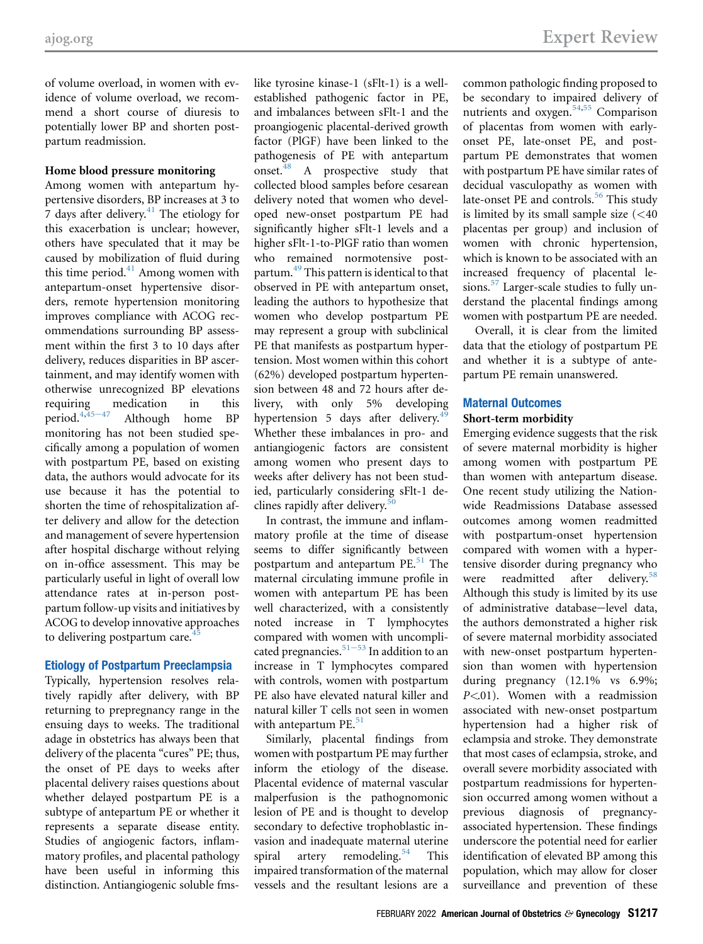of volume overload, in women with evidence of volume overload, we recommend a short course of diuresis to potentially lower BP and shorten postpartum readmission.

#### Home blood pressure monitoring

Among women with antepartum hypertensive disorders, BP increases at 3 to  $7$  days after delivery.<sup>[41](#page-9-27)</sup> The etiology for this exacerbation is unclear; however, others have speculated that it may be caused by mobilization of fluid during this time period.<sup>[41](#page-9-27)</sup> Among women with antepartum-onset hypertensive disorders, remote hypertension monitoring improves compliance with ACOG recommendations surrounding BP assessment within the first 3 to 10 days after delivery, reduces disparities in BP ascertainment, and may identify women with otherwise unrecognized BP elevations requirin[g](#page-9-31) medication in this period.<sup>[4,](#page-8-1)45-47</sup> Although home BP monitoring has not been studied specifically among a population of women with postpartum PE, based on existing data, the authors would advocate for its use because it has the potential to shorten the time of rehospitalization after delivery and allow for the detection and management of severe hypertension after hospital discharge without relying on in-office assessment. This may be particularly useful in light of overall low attendance rates at in-person postpartum follow-up visits and initiatives by ACOG to develop innovative approaches to delivering postpartum care. $4$ 

## Etiology of Postpartum Preeclampsia

Typically, hypertension resolves relatively rapidly after delivery, with BP returning to prepregnancy range in the ensuing days to weeks. The traditional adage in obstetrics has always been that delivery of the placenta "cures" PE; thus, the onset of PE days to weeks after placental delivery raises questions about whether delayed postpartum PE is a subtype of antepartum PE or whether it represents a separate disease entity. Studies of angiogenic factors, inflammatory profiles, and placental pathology have been useful in informing this distinction. Antiangiogenic soluble fmslike tyrosine kinase-1 (sFlt-1) is a wellestablished pathogenic factor in PE, and imbalances between sFlt-1 and the proangiogenic placental-derived growth factor (PlGF) have been linked to the pathogenesis of PE with antepartum onset.<sup>[48](#page-9-32)</sup> A prospective study that collected blood samples before cesarean delivery noted that women who developed new-onset postpartum PE had significantly higher sFlt-1 levels and a higher sFlt-1-to-PlGF ratio than women who remained normotensive post-partum.<sup>[49](#page-9-33)</sup> This pattern is identical to that observed in PE with antepartum onset, leading the authors to hypothesize that women who develop postpartum PE may represent a group with subclinical PE that manifests as postpartum hypertension. Most women within this cohort (62%) developed postpartum hypertension between 48 and 72 hours after delivery, with only 5% developing hypertension 5 days after delivery.<sup>4</sup> Whether these imbalances in pro- and antiangiogenic factors are consistent among women who present days to weeks after delivery has not been studied, particularly considering sFlt-1 declines rapidly after delivery. $50$ 

In contrast, the immune and inflammatory profile at the time of disease seems to differ significantly between postpartum and antepartum  $PE.<sup>51</sup>$  The maternal circulating immune profile in women with antepartum PE has been well characterized, with a consistently noted increase in T lymphocytes compared with women with uncompli-cated pregnancies.<sup>[51](#page-9-35)-53</sup> In addition to an increase in T lymphocytes compared with controls, women with postpartum PE also have elevated natural killer and natural killer T cells not seen in women with antepartum PE.<sup>[51](#page-9-35)</sup>

Similarly, placental findings from women with postpartum PE may further inform the etiology of the disease. Placental evidence of maternal vascular malperfusion is the pathognomonic lesion of PE and is thought to develop secondary to defective trophoblastic invasion and inadequate maternal uterine spiral artery remodeling.<sup>[54](#page-9-36)</sup> This impaired transformation of the maternal vessels and the resultant lesions are a

common pathologic finding proposed to be secondary to impaired delivery of nutrients and oxygen.<sup>[54](#page-9-36)[,55](#page-9-37)</sup> Comparison of placentas from women with earlyonset PE, late-onset PE, and postpartum PE demonstrates that women with postpartum PE have similar rates of decidual vasculopathy as women with late-onset PE and controls.<sup>[56](#page-10-0)</sup> This study is limited by its small sample size  $( $40$$ placentas per group) and inclusion of women with chronic hypertension, which is known to be associated with an increased frequency of placental lesions[.57](#page-10-1) Larger-scale studies to fully understand the placental findings among women with postpartum PE are needed.

Overall, it is clear from the limited data that the etiology of postpartum PE and whether it is a subtype of antepartum PE remain unanswered.

#### Maternal Outcomes Short-term morbidity

Emerging evidence suggests that the risk of severe maternal morbidity is higher among women with postpartum PE than women with antepartum disease. One recent study utilizing the Nationwide Readmissions Database assessed outcomes among women readmitted with postpartum-onset hypertension compared with women with a hypertensive disorder during pregnancy who were readmitted after delivery.<sup>[58](#page-10-2)</sup> Although this study is limited by its use of administrative database-level data, the authors demonstrated a higher risk of severe maternal morbidity associated with new-onset postpartum hypertension than women with hypertension during pregnancy (12.1% vs 6.9%;  $P \leq 01$ ). Women with a readmission associated with new-onset postpartum hypertension had a higher risk of eclampsia and stroke. They demonstrate that most cases of eclampsia, stroke, and overall severe morbidity associated with postpartum readmissions for hypertension occurred among women without a previous diagnosis of pregnancyassociated hypertension. These findings underscore the potential need for earlier identification of elevated BP among this population, which may allow for closer surveillance and prevention of these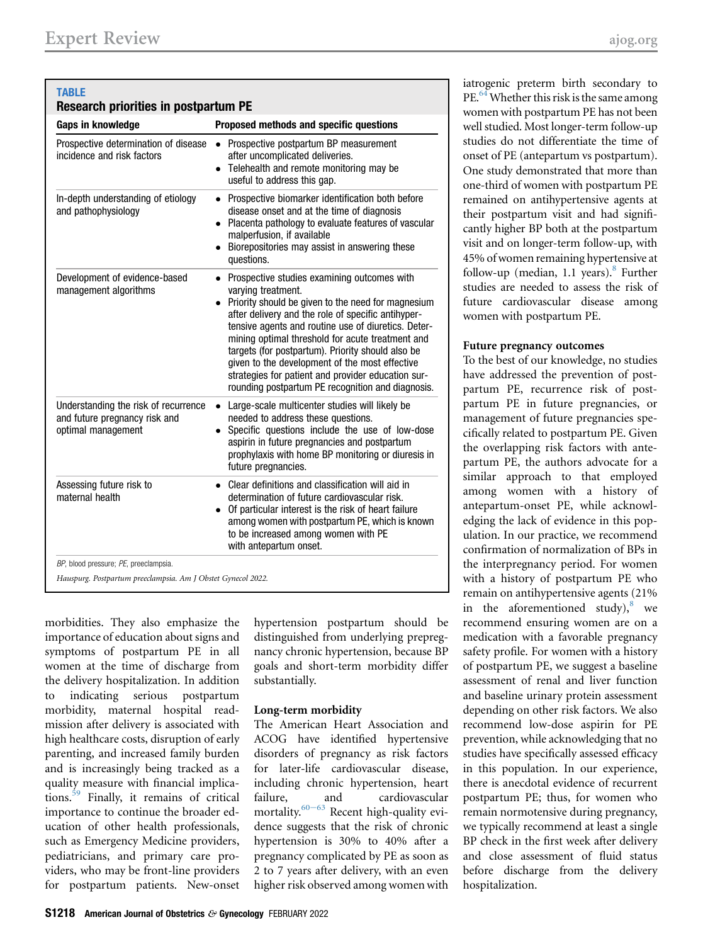<span id="page-7-0"></span>

| <b>TABLE</b><br><b>Research priorities in postpartum PE</b>                                 |                                                                                                                                                                                                                                                                                                                                                                                                                                                                                                                |
|---------------------------------------------------------------------------------------------|----------------------------------------------------------------------------------------------------------------------------------------------------------------------------------------------------------------------------------------------------------------------------------------------------------------------------------------------------------------------------------------------------------------------------------------------------------------------------------------------------------------|
| Gaps in knowledge                                                                           | Proposed methods and specific questions                                                                                                                                                                                                                                                                                                                                                                                                                                                                        |
| Prospective determination of disease<br>incidence and risk factors                          | Prospective postpartum BP measurement<br>$\bullet$<br>after uncomplicated deliveries.<br>• Telehealth and remote monitoring may be<br>useful to address this gap.                                                                                                                                                                                                                                                                                                                                              |
| In-depth understanding of etiology<br>and pathophysiology                                   | • Prospective biomarker identification both before<br>disease onset and at the time of diagnosis<br>Placenta pathology to evaluate features of vascular<br>$\bullet$<br>malperfusion, if available<br>Biorepositories may assist in answering these<br>questions.                                                                                                                                                                                                                                              |
| Development of evidence-based<br>management algorithms                                      | • Prospective studies examining outcomes with<br>varying treatment.<br>• Priority should be given to the need for magnesium<br>after delivery and the role of specific antihyper-<br>tensive agents and routine use of diuretics. Deter-<br>mining optimal threshold for acute treatment and<br>targets (for postpartum). Priority should also be<br>given to the development of the most effective<br>strategies for patient and provider education sur-<br>rounding postpartum PE recognition and diagnosis. |
| Understanding the risk of recurrence<br>and future pregnancy risk and<br>optimal management | Large-scale multicenter studies will likely be<br>$\bullet$<br>needed to address these questions.<br>Specific questions include the use of low-dose<br>$\bullet$<br>aspirin in future pregnancies and postpartum<br>prophylaxis with home BP monitoring or diuresis in<br>future pregnancies.                                                                                                                                                                                                                  |
| Assessing future risk to<br>maternal health                                                 | • Clear definitions and classification will aid in<br>determination of future cardiovascular risk.<br>Of particular interest is the risk of heart failure<br>among women with postpartum PE, which is known<br>to be increased among women with PE<br>with antepartum onset.                                                                                                                                                                                                                                   |
| BP, blood pressure; PE, preeclampsia.                                                       |                                                                                                                                                                                                                                                                                                                                                                                                                                                                                                                |
| Hauspurg. Postpartum preeclampsia. Am J Obstet Gynecol 2022.                                |                                                                                                                                                                                                                                                                                                                                                                                                                                                                                                                |

morbidities. They also emphasize the importance of education about signs and symptoms of postpartum PE in all women at the time of discharge from the delivery hospitalization. In addition to indicating serious postpartum morbidity, maternal hospital readmission after delivery is associated with high healthcare costs, disruption of early parenting, and increased family burden and is increasingly being tracked as a quality measure with financial implications.[59](#page-10-3) Finally, it remains of critical importance to continue the broader education of other health professionals, such as Emergency Medicine providers, pediatricians, and primary care providers, who may be front-line providers for postpartum patients. New-onset

hypertension postpartum should be distinguished from underlying prepregnancy chronic hypertension, because BP goals and short-term morbidity differ substantially.

## Long-term morbidity

The American Heart Association and ACOG have identified hypertensive disorders of pregnancy as risk factors for later-life cardiovascular disease, including chronic hypertension, heart failure, and cardiovascular mortality. $60-63$  $60-63$  Recent high-quality evidence suggests that the risk of chronic hypertension is 30% to 40% after a pregnancy complicated by PE as soon as 2 to 7 years after delivery, with an even higher risk observed among women with

iatrogenic preterm birth secondary to PE.<sup>[64](#page-10-5)</sup> Whether this risk is the same among women with postpartum PE has not been well studied. Most longer-term follow-up studies do not differentiate the time of onset of PE (antepartum vs postpartum). One study demonstrated that more than one-third of women with postpartum PE remained on antihypertensive agents at their postpartum visit and had significantly higher BP both at the postpartum visit and on longer-term follow-up, with 45% of women remaining hypertensive at follow-up (median, 1.1 years). $8$  Further studies are needed to assess the risk of future cardiovascular disease among women with postpartum PE.

#### Future pregnancy outcomes

To the best of our knowledge, no studies have addressed the prevention of postpartum PE, recurrence risk of postpartum PE in future pregnancies, or management of future pregnancies specifically related to postpartum PE. Given the overlapping risk factors with antepartum PE, the authors advocate for a similar approach to that employed among women with a history of antepartum-onset PE, while acknowledging the lack of evidence in this population. In our practice, we recommend confirmation of normalization of BPs in the interpregnancy period. For women with a history of postpartum PE who remain on antihypertensive agents (21% in the aforementioned study), $8$  we recommend ensuring women are on a medication with a favorable pregnancy safety profile. For women with a history of postpartum PE, we suggest a baseline assessment of renal and liver function and baseline urinary protein assessment depending on other risk factors. We also recommend low-dose aspirin for PE prevention, while acknowledging that no studies have specifically assessed efficacy in this population. In our experience, there is anecdotal evidence of recurrent postpartum PE; thus, for women who remain normotensive during pregnancy, we typically recommend at least a single BP check in the first week after delivery and close assessment of fluid status before discharge from the delivery hospitalization.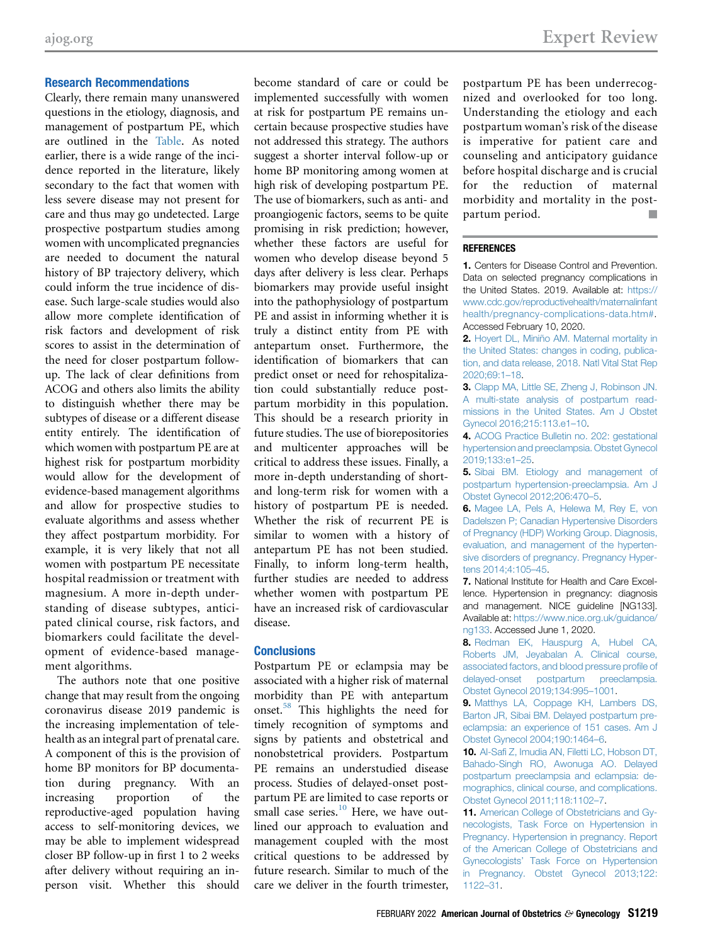Clearly, there remain many unanswered questions in the etiology, diagnosis, and management of postpartum PE, which are outlined in the [Table.](#page-7-0) As noted earlier, there is a wide range of the incidence reported in the literature, likely secondary to the fact that women with less severe disease may not present for care and thus may go undetected. Large prospective postpartum studies among women with uncomplicated pregnancies are needed to document the natural history of BP trajectory delivery, which could inform the true incidence of disease. Such large-scale studies would also allow more complete identification of risk factors and development of risk scores to assist in the determination of the need for closer postpartum followup. The lack of clear definitions from ACOG and others also limits the ability to distinguish whether there may be subtypes of disease or a different disease entity entirely. The identification of which women with postpartum PE are at highest risk for postpartum morbidity would allow for the development of evidence-based management algorithms and allow for prospective studies to evaluate algorithms and assess whether they affect postpartum morbidity. For example, it is very likely that not all women with postpartum PE necessitate hospital readmission or treatment with magnesium. A more in-depth understanding of disease subtypes, anticipated clinical course, risk factors, and biomarkers could facilitate the development of evidence-based management algorithms.

The authors note that one positive change that may result from the ongoing coronavirus disease 2019 pandemic is the increasing implementation of telehealth as an integral part of prenatal care. A component of this is the provision of home BP monitors for BP documentation during pregnancy. With an increasing proportion of the reproductive-aged population having access to self-monitoring devices, we may be able to implement widespread closer BP follow-up in first 1 to 2 weeks after delivery without requiring an inperson visit. Whether this should

become standard of care or could be implemented successfully with women at risk for postpartum PE remains uncertain because prospective studies have not addressed this strategy. The authors suggest a shorter interval follow-up or home BP monitoring among women at high risk of developing postpartum PE. The use of biomarkers, such as anti- and proangiogenic factors, seems to be quite promising in risk prediction; however, whether these factors are useful for women who develop disease beyond 5 days after delivery is less clear. Perhaps biomarkers may provide useful insight into the pathophysiology of postpartum PE and assist in informing whether it is truly a distinct entity from PE with antepartum onset. Furthermore, the identification of biomarkers that can predict onset or need for rehospitalization could substantially reduce postpartum morbidity in this population. This should be a research priority in future studies. The use of biorepositories and multicenter approaches will be critical to address these issues. Finally, a more in-depth understanding of shortand long-term risk for women with a history of postpartum PE is needed. Whether the risk of recurrent PE is similar to women with a history of antepartum PE has not been studied. Finally, to inform long-term health, further studies are needed to address whether women with postpartum PE have an increased risk of cardiovascular disease.

#### **Conclusions**

Postpartum PE or eclampsia may be associated with a higher risk of maternal morbidity than PE with antepartum onset.[58](#page-10-2) This highlights the need for timely recognition of symptoms and signs by patients and obstetrical and nonobstetrical providers. Postpartum PE remains an understudied disease process. Studies of delayed-onset postpartum PE are limited to case reports or small case series. $10$  Here, we have outlined our approach to evaluation and management coupled with the most critical questions to be addressed by future research. Similar to much of the care we deliver in the fourth trimester,

postpartum PE has been underrecognized and overlooked for too long. Understanding the etiology and each postpartum woman's risk of the disease is imperative for patient care and counseling and anticipatory guidance before hospital discharge and is crucial for the reduction of maternal morbidity and mortality in the postpartum period.

#### REFERENCES

<span id="page-8-0"></span>1. Centers for Disease Control and Prevention. Data on selected pregnancy complications in the United States. 2019. Available at: [https://](https://www.cdc.gov/reproductivehealth/maternalinfanthealth/pregnancy-complications-data.htm#) [www.cdc.gov/reproductivehealth/maternalinfant](https://www.cdc.gov/reproductivehealth/maternalinfanthealth/pregnancy-complications-data.htm#) [health/pregnancy-complications-data.htm#](https://www.cdc.gov/reproductivehealth/maternalinfanthealth/pregnancy-complications-data.htm#). Accessed February 10, 2020.

2. [Hoyert DL, Miniño AM. Maternal mortality in](http://refhub.elsevier.com/S0002-9378(20)31201-1/sref2) [the United States: changes in coding, publica](http://refhub.elsevier.com/S0002-9378(20)31201-1/sref2)[tion, and data release, 2018. Natl Vital Stat Rep](http://refhub.elsevier.com/S0002-9378(20)31201-1/sref2) [2020;69:1](http://refhub.elsevier.com/S0002-9378(20)31201-1/sref2)–18.

3. [Clapp MA, Little SE, Zheng J, Robinson JN.](http://refhub.elsevier.com/S0002-9378(20)31201-1/sref3) [A multi-state analysis of postpartum read](http://refhub.elsevier.com/S0002-9378(20)31201-1/sref3)[missions in the United States. Am J Obstet](http://refhub.elsevier.com/S0002-9378(20)31201-1/sref3) [Gynecol 2016;215:113.e1](http://refhub.elsevier.com/S0002-9378(20)31201-1/sref3)–10.

<span id="page-8-1"></span>4. [ACOG Practice Bulletin no. 202: gestational](http://refhub.elsevier.com/S0002-9378(20)31201-1/sref4) [hypertension and preeclampsia. Obstet Gynecol](http://refhub.elsevier.com/S0002-9378(20)31201-1/sref4) [2019;133:e1](http://refhub.elsevier.com/S0002-9378(20)31201-1/sref4)–25.

<span id="page-8-2"></span>5. [Sibai BM. Etiology and management of](http://refhub.elsevier.com/S0002-9378(20)31201-1/sref5) [postpartum hypertension-preeclampsia. Am J](http://refhub.elsevier.com/S0002-9378(20)31201-1/sref5) [Obstet Gynecol 2012;206:470](http://refhub.elsevier.com/S0002-9378(20)31201-1/sref5)–5.

<span id="page-8-3"></span>6. [Magee LA, Pels A, Helewa M, Rey E, von](http://refhub.elsevier.com/S0002-9378(20)31201-1/sref6) [Dadelszen P; Canadian Hypertensive Disorders](http://refhub.elsevier.com/S0002-9378(20)31201-1/sref6) [of Pregnancy \(HDP\) Working Group. Diagnosis,](http://refhub.elsevier.com/S0002-9378(20)31201-1/sref6) [evaluation, and management of the hyperten](http://refhub.elsevier.com/S0002-9378(20)31201-1/sref6)[sive disorders of pregnancy. Pregnancy Hyper](http://refhub.elsevier.com/S0002-9378(20)31201-1/sref6)[tens 2014;4:105](http://refhub.elsevier.com/S0002-9378(20)31201-1/sref6)–45.

<span id="page-8-4"></span>7. National Institute for Health and Care Excellence. Hypertension in pregnancy: diagnosis and management. NICE guideline [NG133]. Available at: [https://www.nice.org.uk/guidance/](https://www.nice.org.uk/guidance/ng133) [ng133](https://www.nice.org.uk/guidance/ng133). Accessed June 1, 2020.

<span id="page-8-7"></span>8. [Redman EK, Hauspurg A, Hubel CA,](http://refhub.elsevier.com/S0002-9378(20)31201-1/sref8) [Roberts JM, Jeyabalan A. Clinical course,](http://refhub.elsevier.com/S0002-9378(20)31201-1/sref8) [associated factors, and blood pressure pro](http://refhub.elsevier.com/S0002-9378(20)31201-1/sref8)file of [delayed-onset postpartum preeclampsia.](http://refhub.elsevier.com/S0002-9378(20)31201-1/sref8) [Obstet Gynecol 2019;134:995](http://refhub.elsevier.com/S0002-9378(20)31201-1/sref8)–1001.

9. [Matthys LA, Coppage KH, Lambers DS,](http://refhub.elsevier.com/S0002-9378(20)31201-1/sref9) [Barton JR, Sibai BM. Delayed postpartum pre](http://refhub.elsevier.com/S0002-9378(20)31201-1/sref9)[eclampsia: an experience of 151 cases. Am J](http://refhub.elsevier.com/S0002-9378(20)31201-1/sref9) [Obstet Gynecol 2004;190:1464](http://refhub.elsevier.com/S0002-9378(20)31201-1/sref9)–6.

<span id="page-8-5"></span>10. Al-Safi [Z, Imudia AN, Filetti LC, Hobson DT,](http://refhub.elsevier.com/S0002-9378(20)31201-1/sref10) [Bahado-Singh RO, Awonuga AO. Delayed](http://refhub.elsevier.com/S0002-9378(20)31201-1/sref10) [postpartum preeclampsia and eclampsia: de](http://refhub.elsevier.com/S0002-9378(20)31201-1/sref10)[mographics, clinical course, and complications.](http://refhub.elsevier.com/S0002-9378(20)31201-1/sref10) [Obstet Gynecol 2011;118:1102](http://refhub.elsevier.com/S0002-9378(20)31201-1/sref10)–7.

<span id="page-8-6"></span>11. [American College of Obstetricians and Gy](http://refhub.elsevier.com/S0002-9378(20)31201-1/sref11)[necologists, Task Force on Hypertension in](http://refhub.elsevier.com/S0002-9378(20)31201-1/sref11) [Pregnancy. Hypertension in pregnancy. Report](http://refhub.elsevier.com/S0002-9378(20)31201-1/sref11) [of the American College of Obstetricians and](http://refhub.elsevier.com/S0002-9378(20)31201-1/sref11) Gynecologists' [Task Force on Hypertension](http://refhub.elsevier.com/S0002-9378(20)31201-1/sref11) [in Pregnancy. Obstet Gynecol 2013;122:](http://refhub.elsevier.com/S0002-9378(20)31201-1/sref11) [1122](http://refhub.elsevier.com/S0002-9378(20)31201-1/sref11)–31.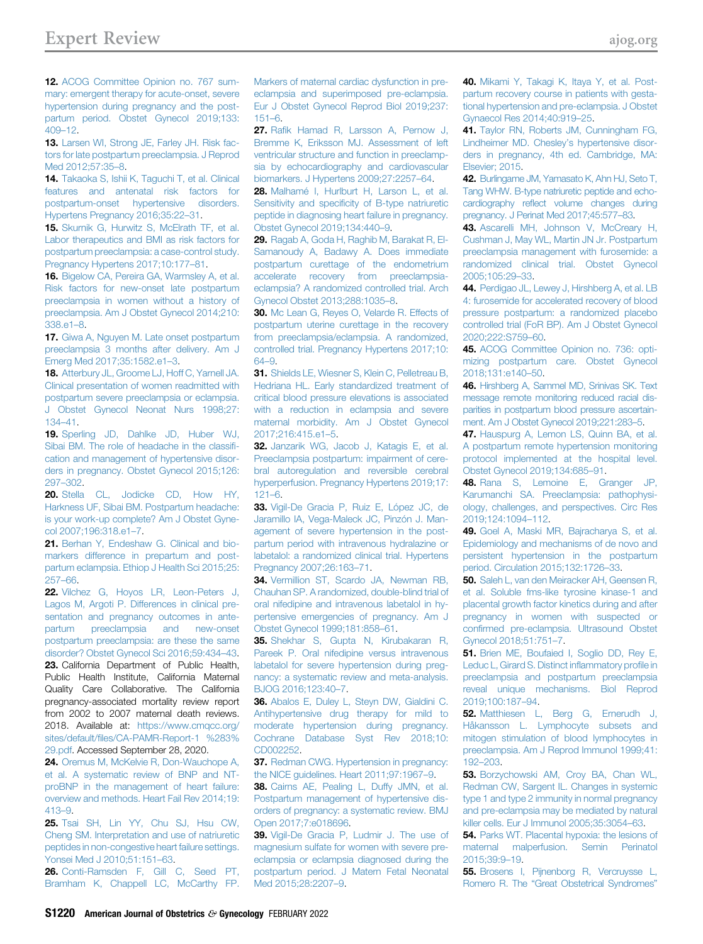<span id="page-9-10"></span>12. [ACOG Committee Opinion no. 767 sum](http://refhub.elsevier.com/S0002-9378(20)31201-1/sref12)[mary: emergent therapy for acute-onset, severe](http://refhub.elsevier.com/S0002-9378(20)31201-1/sref12) [hypertension during pregnancy and the post](http://refhub.elsevier.com/S0002-9378(20)31201-1/sref12)[partum period. Obstet Gynecol 2019;133:](http://refhub.elsevier.com/S0002-9378(20)31201-1/sref12) [409](http://refhub.elsevier.com/S0002-9378(20)31201-1/sref12)–12.

<span id="page-9-0"></span>13. [Larsen WI, Strong JE, Farley JH. Risk fac](http://refhub.elsevier.com/S0002-9378(20)31201-1/sref13)[tors for late postpartum preeclampsia. J Reprod](http://refhub.elsevier.com/S0002-9378(20)31201-1/sref13) [Med 2012;57:35](http://refhub.elsevier.com/S0002-9378(20)31201-1/sref13)–8.

<span id="page-9-1"></span>14. [Takaoka S, Ishii K, Taguchi T, et al. Clinical](http://refhub.elsevier.com/S0002-9378(20)31201-1/sref14) [features and antenatal risk factors for](http://refhub.elsevier.com/S0002-9378(20)31201-1/sref14) [postpartum-onset hypertensive disorders.](http://refhub.elsevier.com/S0002-9378(20)31201-1/sref14) [Hypertens Pregnancy 2016;35:22](http://refhub.elsevier.com/S0002-9378(20)31201-1/sref14)–31.

<span id="page-9-2"></span>15. [Skurnik G, Hurwitz S, McElrath TF, et al.](http://refhub.elsevier.com/S0002-9378(20)31201-1/sref15) [Labor therapeutics and BMI as risk factors for](http://refhub.elsevier.com/S0002-9378(20)31201-1/sref15) [postpartum preeclampsia: a case-control study.](http://refhub.elsevier.com/S0002-9378(20)31201-1/sref15) [Pregnancy Hypertens 2017;10:177](http://refhub.elsevier.com/S0002-9378(20)31201-1/sref15)–81.

<span id="page-9-3"></span>16. [Bigelow CA, Pereira GA, Warmsley A, et al.](http://refhub.elsevier.com/S0002-9378(20)31201-1/sref16) [Risk factors for new-onset late postpartum](http://refhub.elsevier.com/S0002-9378(20)31201-1/sref16) [preeclampsia in women without a history of](http://refhub.elsevier.com/S0002-9378(20)31201-1/sref16) [preeclampsia. Am J Obstet Gynecol 2014;210:](http://refhub.elsevier.com/S0002-9378(20)31201-1/sref16) [338.e1](http://refhub.elsevier.com/S0002-9378(20)31201-1/sref16)–8.

<span id="page-9-4"></span>17. [Giwa A, Nguyen M. Late onset postpartum](http://refhub.elsevier.com/S0002-9378(20)31201-1/sref17) [preeclampsia 3 months after delivery. Am J](http://refhub.elsevier.com/S0002-9378(20)31201-1/sref17) [Emerg Med 2017;35:1582.e1](http://refhub.elsevier.com/S0002-9378(20)31201-1/sref17)–3.

<span id="page-9-5"></span>18. [Atterbury JL, Groome LJ, Hoff C, Yarnell JA.](http://refhub.elsevier.com/S0002-9378(20)31201-1/sref18) [Clinical presentation of women readmitted with](http://refhub.elsevier.com/S0002-9378(20)31201-1/sref18) [postpartum severe preeclampsia or eclampsia.](http://refhub.elsevier.com/S0002-9378(20)31201-1/sref18) [J Obstet Gynecol Neonat Nurs 1998;27:](http://refhub.elsevier.com/S0002-9378(20)31201-1/sref18) [134](http://refhub.elsevier.com/S0002-9378(20)31201-1/sref18)–41.

<span id="page-9-6"></span>19. [Sperling JD, Dahlke JD, Huber WJ,](http://refhub.elsevier.com/S0002-9378(20)31201-1/sref19) [Sibai BM. The role of headache in the classi](http://refhub.elsevier.com/S0002-9378(20)31201-1/sref19)fi[cation and management of hypertensive disor](http://refhub.elsevier.com/S0002-9378(20)31201-1/sref19)[ders in pregnancy. Obstet Gynecol 2015;126:](http://refhub.elsevier.com/S0002-9378(20)31201-1/sref19) [297](http://refhub.elsevier.com/S0002-9378(20)31201-1/sref19)–302.

<span id="page-9-7"></span>20. [Stella CL, Jodicke CD, How HY,](http://refhub.elsevier.com/S0002-9378(20)31201-1/sref20) [Harkness UF, Sibai BM. Postpartum headache:](http://refhub.elsevier.com/S0002-9378(20)31201-1/sref20) [is your work-up complete? Am J Obstet Gyne](http://refhub.elsevier.com/S0002-9378(20)31201-1/sref20)[col 2007;196:318.e1](http://refhub.elsevier.com/S0002-9378(20)31201-1/sref20)–7.

<span id="page-9-8"></span>21. [Berhan Y, Endeshaw G. Clinical and bio](http://refhub.elsevier.com/S0002-9378(20)31201-1/sref21)[markers difference in prepartum and post](http://refhub.elsevier.com/S0002-9378(20)31201-1/sref21)[partum eclampsia. Ethiop J Health Sci 2015;25:](http://refhub.elsevier.com/S0002-9378(20)31201-1/sref21) [257](http://refhub.elsevier.com/S0002-9378(20)31201-1/sref21)–66.

<span id="page-9-11"></span><span id="page-9-9"></span>22. Vilchez G. Hovos LR. Leon-Peters J. [Lagos M, Argoti P. Differences in clinical pre](http://refhub.elsevier.com/S0002-9378(20)31201-1/sref22)[sentation and pregnancy outcomes in ante](http://refhub.elsevier.com/S0002-9378(20)31201-1/sref22)[partum preeclampsia and new-onset](http://refhub.elsevier.com/S0002-9378(20)31201-1/sref22) [postpartum preeclampsia: are these the same](http://refhub.elsevier.com/S0002-9378(20)31201-1/sref22) [disorder? Obstet Gynecol Sci 2016;59:434](http://refhub.elsevier.com/S0002-9378(20)31201-1/sref22)–43. 23. California Department of Public Health, Public Health Institute, California Maternal Quality Care Collaborative. The California pregnancy-associated mortality review report from 2002 to 2007 maternal death reviews. 2018. Available at: [https://www.cmqcc.org/](https://www.cmqcc.org/sites/default/files/CA-PAMR-Report-1%20%283%29.pdf) sites/default/fi[les/CA-PAMR-Report-1 %283%](https://www.cmqcc.org/sites/default/files/CA-PAMR-Report-1%20%283%29.pdf) [29.pdf.](https://www.cmqcc.org/sites/default/files/CA-PAMR-Report-1%20%283%29.pdf) Accessed September 28, 2020.

<span id="page-9-12"></span>24. Oremus M. McKelvie R. Don-Wauchope A. [et al. A systematic review of BNP and NT](http://refhub.elsevier.com/S0002-9378(20)31201-1/sref24)[proBNP in the management of heart failure:](http://refhub.elsevier.com/S0002-9378(20)31201-1/sref24) [overview and methods. Heart Fail Rev 2014;19:](http://refhub.elsevier.com/S0002-9378(20)31201-1/sref24) [413](http://refhub.elsevier.com/S0002-9378(20)31201-1/sref24)–9.

<span id="page-9-13"></span>25. [Tsai SH, Lin YY, Chu SJ, Hsu CW,](http://refhub.elsevier.com/S0002-9378(20)31201-1/sref25) [Cheng SM. Interpretation and use of natriuretic](http://refhub.elsevier.com/S0002-9378(20)31201-1/sref25) [peptides in non-congestive heart failure settings.](http://refhub.elsevier.com/S0002-9378(20)31201-1/sref25) [Yonsei Med J 2010;51:151](http://refhub.elsevier.com/S0002-9378(20)31201-1/sref25)–63.

<span id="page-9-14"></span>26. [Conti-Ramsden F, Gill C, Seed PT,](http://refhub.elsevier.com/S0002-9378(20)31201-1/sref26) [Bramham K, Chappell LC, McCarthy FP.](http://refhub.elsevier.com/S0002-9378(20)31201-1/sref26)

[Markers of maternal cardiac dysfunction in pre](http://refhub.elsevier.com/S0002-9378(20)31201-1/sref26)[eclampsia and superimposed pre-eclampsia.](http://refhub.elsevier.com/S0002-9378(20)31201-1/sref26) [Eur J Obstet Gynecol Reprod Biol 2019;237:](http://refhub.elsevier.com/S0002-9378(20)31201-1/sref26) [151](http://refhub.elsevier.com/S0002-9378(20)31201-1/sref26)–6.

27. Rafi[k Hamad R, Larsson A, Pernow J,](http://refhub.elsevier.com/S0002-9378(20)31201-1/sref27) [Bremme K, Eriksson MJ. Assessment of left](http://refhub.elsevier.com/S0002-9378(20)31201-1/sref27) [ventricular structure and function in preeclamp](http://refhub.elsevier.com/S0002-9378(20)31201-1/sref27)[sia by echocardiography and cardiovascular](http://refhub.elsevier.com/S0002-9378(20)31201-1/sref27) [biomarkers. J Hypertens 2009;27:2257](http://refhub.elsevier.com/S0002-9378(20)31201-1/sref27)–64.

28. [Malhamé I, Hurlburt H, Larson L, et al.](http://refhub.elsevier.com/S0002-9378(20)31201-1/sref28) Sensitivity and specifi[city of B-type natriuretic](http://refhub.elsevier.com/S0002-9378(20)31201-1/sref28) [peptide in diagnosing heart failure in pregnancy.](http://refhub.elsevier.com/S0002-9378(20)31201-1/sref28) [Obstet Gynecol 2019;134:440](http://refhub.elsevier.com/S0002-9378(20)31201-1/sref28)–9.

<span id="page-9-15"></span>29. [Ragab A, Goda H, Raghib M, Barakat R, El-](http://refhub.elsevier.com/S0002-9378(20)31201-1/sref29)[Samanoudy A, Badawy A. Does immediate](http://refhub.elsevier.com/S0002-9378(20)31201-1/sref29) [postpartum curettage of the endometrium](http://refhub.elsevier.com/S0002-9378(20)31201-1/sref29) [accelerate recovery from preeclampsia](http://refhub.elsevier.com/S0002-9378(20)31201-1/sref29)[eclampsia? A randomized controlled trial. Arch](http://refhub.elsevier.com/S0002-9378(20)31201-1/sref29) [Gynecol Obstet 2013;288:1035](http://refhub.elsevier.com/S0002-9378(20)31201-1/sref29)–8.

<span id="page-9-16"></span>30. [Mc Lean G, Reyes O, Velarde R. Effects of](http://refhub.elsevier.com/S0002-9378(20)31201-1/sref30) [postpartum uterine curettage in the recovery](http://refhub.elsevier.com/S0002-9378(20)31201-1/sref30) [from preeclampsia/eclampsia. A randomized,](http://refhub.elsevier.com/S0002-9378(20)31201-1/sref30) [controlled trial. Pregnancy Hypertens 2017;10:](http://refhub.elsevier.com/S0002-9378(20)31201-1/sref30) [64](http://refhub.elsevier.com/S0002-9378(20)31201-1/sref30)–9.

<span id="page-9-17"></span>31. [Shields LE, Wiesner S, Klein C, Pelletreau B,](http://refhub.elsevier.com/S0002-9378(20)31201-1/sref31) [Hedriana HL. Early standardized treatment of](http://refhub.elsevier.com/S0002-9378(20)31201-1/sref31) [critical blood pressure elevations is associated](http://refhub.elsevier.com/S0002-9378(20)31201-1/sref31) [with a reduction in eclampsia and severe](http://refhub.elsevier.com/S0002-9378(20)31201-1/sref31) [maternal morbidity. Am J Obstet Gynecol](http://refhub.elsevier.com/S0002-9378(20)31201-1/sref31) [2017;216:415.e1](http://refhub.elsevier.com/S0002-9378(20)31201-1/sref31)–5.

<span id="page-9-18"></span>32. [Janzarik WG, Jacob J, Katagis E, et al.](http://refhub.elsevier.com/S0002-9378(20)31201-1/sref32) [Preeclampsia postpartum: impairment of cere](http://refhub.elsevier.com/S0002-9378(20)31201-1/sref32)[bral autoregulation and reversible cerebral](http://refhub.elsevier.com/S0002-9378(20)31201-1/sref32) [hyperperfusion. Pregnancy Hypertens 2019;17:](http://refhub.elsevier.com/S0002-9378(20)31201-1/sref32) [121](http://refhub.elsevier.com/S0002-9378(20)31201-1/sref32)–6.

<span id="page-9-19"></span>33. [Vigil-De Gracia P, Ruiz E, López JC, de](http://refhub.elsevier.com/S0002-9378(20)31201-1/sref33) [Jaramillo IA, Vega-Maleck JC, Pinzón J. Man](http://refhub.elsevier.com/S0002-9378(20)31201-1/sref33)[agement of severe hypertension in the post](http://refhub.elsevier.com/S0002-9378(20)31201-1/sref33)[partum period with intravenous hydralazine or](http://refhub.elsevier.com/S0002-9378(20)31201-1/sref33) [labetalol: a randomized clinical trial. Hypertens](http://refhub.elsevier.com/S0002-9378(20)31201-1/sref33) [Pregnancy 2007;26:163](http://refhub.elsevier.com/S0002-9378(20)31201-1/sref33)–71.

<span id="page-9-20"></span>34. [Vermillion ST, Scardo JA, Newman RB,](http://refhub.elsevier.com/S0002-9378(20)31201-1/sref34) [Chauhan SP. A randomized, double-blind trial of](http://refhub.elsevier.com/S0002-9378(20)31201-1/sref34) [oral nifedipine and intravenous labetalol in hy](http://refhub.elsevier.com/S0002-9378(20)31201-1/sref34)[pertensive emergencies of pregnancy. Am J](http://refhub.elsevier.com/S0002-9378(20)31201-1/sref34) [Obstet Gynecol 1999;181:858](http://refhub.elsevier.com/S0002-9378(20)31201-1/sref34)–61.

<span id="page-9-21"></span>35. [Shekhar S, Gupta N, Kirubakaran R,](http://refhub.elsevier.com/S0002-9378(20)31201-1/sref35) [Pareek P. Oral nifedipine versus intravenous](http://refhub.elsevier.com/S0002-9378(20)31201-1/sref35) [labetalol for severe hypertension during preg](http://refhub.elsevier.com/S0002-9378(20)31201-1/sref35)[nancy: a systematic review and meta-analysis.](http://refhub.elsevier.com/S0002-9378(20)31201-1/sref35) [BJOG 2016;123:40](http://refhub.elsevier.com/S0002-9378(20)31201-1/sref35)–7.

<span id="page-9-22"></span>36. [Abalos E, Duley L, Steyn DW, Gialdini C.](http://refhub.elsevier.com/S0002-9378(20)31201-1/sref36) [Antihypertensive drug therapy for mild to](http://refhub.elsevier.com/S0002-9378(20)31201-1/sref36) [moderate hypertension during pregnancy.](http://refhub.elsevier.com/S0002-9378(20)31201-1/sref36) [Cochrane Database Syst Rev 2018;10:](http://refhub.elsevier.com/S0002-9378(20)31201-1/sref36) [CD002252](http://refhub.elsevier.com/S0002-9378(20)31201-1/sref36).

<span id="page-9-23"></span>37. [Redman CWG. Hypertension in pregnancy:](http://refhub.elsevier.com/S0002-9378(20)31201-1/sref37) [the NICE guidelines. Heart 2011;97:1967](http://refhub.elsevier.com/S0002-9378(20)31201-1/sref37)–9.

<span id="page-9-24"></span>38. [Cairns AE, Pealing L, Duffy JMN, et al.](http://refhub.elsevier.com/S0002-9378(20)31201-1/sref38) [Postpartum management of hypertensive dis](http://refhub.elsevier.com/S0002-9378(20)31201-1/sref38)[orders of pregnancy: a systematic review. BMJ](http://refhub.elsevier.com/S0002-9378(20)31201-1/sref38) [Open 2017;7:e018696.](http://refhub.elsevier.com/S0002-9378(20)31201-1/sref38)

<span id="page-9-25"></span>39. [Vigil-De Gracia P, Ludmir J. The use of](http://refhub.elsevier.com/S0002-9378(20)31201-1/sref39) [magnesium sulfate for women with severe pre](http://refhub.elsevier.com/S0002-9378(20)31201-1/sref39)[eclampsia or eclampsia diagnosed during the](http://refhub.elsevier.com/S0002-9378(20)31201-1/sref39) [postpartum period. J Matern Fetal Neonatal](http://refhub.elsevier.com/S0002-9378(20)31201-1/sref39) [Med 2015;28:2207](http://refhub.elsevier.com/S0002-9378(20)31201-1/sref39)–9.

<span id="page-9-26"></span>40. [Mikami Y, Takagi K, Itaya Y, et al. Post](http://refhub.elsevier.com/S0002-9378(20)31201-1/sref40)[partum recovery course in patients with gesta](http://refhub.elsevier.com/S0002-9378(20)31201-1/sref40)[tional hypertension and pre-eclampsia. J Obstet](http://refhub.elsevier.com/S0002-9378(20)31201-1/sref40) [Gynaecol Res 2014;40:919](http://refhub.elsevier.com/S0002-9378(20)31201-1/sref40)–25.

<span id="page-9-27"></span>41. [Taylor RN, Roberts JM, Cunningham FG,](http://refhub.elsevier.com/S0002-9378(20)31201-1/sref41) [Lindheimer MD. Chesley](http://refhub.elsevier.com/S0002-9378(20)31201-1/sref41)'s hypertensive disor[ders in pregnancy, 4th ed. Cambridge, MA:](http://refhub.elsevier.com/S0002-9378(20)31201-1/sref41) [Elsevier; 2015.](http://refhub.elsevier.com/S0002-9378(20)31201-1/sref41)

<span id="page-9-28"></span>42. [Burlingame JM, Yamasato K, Ahn HJ, Seto T,](http://refhub.elsevier.com/S0002-9378(20)31201-1/sref42) [Tang WHW. B-type natriuretic peptide and echo](http://refhub.elsevier.com/S0002-9378(20)31201-1/sref42)cardiography refl[ect volume changes during](http://refhub.elsevier.com/S0002-9378(20)31201-1/sref42) [pregnancy. J Perinat Med 2017;45:577](http://refhub.elsevier.com/S0002-9378(20)31201-1/sref42)–83.

<span id="page-9-29"></span>43. [Ascarelli MH, Johnson V, McCreary H,](http://refhub.elsevier.com/S0002-9378(20)31201-1/sref43) [Cushman J, May WL, Martin JN Jr. Postpartum](http://refhub.elsevier.com/S0002-9378(20)31201-1/sref43) [preeclampsia management with furosemide: a](http://refhub.elsevier.com/S0002-9378(20)31201-1/sref43) [randomized clinical trial. Obstet Gynecol](http://refhub.elsevier.com/S0002-9378(20)31201-1/sref43) [2005;105:29](http://refhub.elsevier.com/S0002-9378(20)31201-1/sref43)–33.

<span id="page-9-30"></span>44. [Perdigao JL, Lewey J, Hirshberg A, et al. LB](http://refhub.elsevier.com/S0002-9378(20)31201-1/sref44) [4: furosemide for accelerated recovery of blood](http://refhub.elsevier.com/S0002-9378(20)31201-1/sref44) [pressure postpartum: a randomized placebo](http://refhub.elsevier.com/S0002-9378(20)31201-1/sref44) [controlled trial \(FoR BP\). Am J Obstet Gynecol](http://refhub.elsevier.com/S0002-9378(20)31201-1/sref44) [2020;222:S759](http://refhub.elsevier.com/S0002-9378(20)31201-1/sref44)–60.

<span id="page-9-31"></span>45. [ACOG Committee Opinion no. 736: opti](http://refhub.elsevier.com/S0002-9378(20)31201-1/sref45)[mizing postpartum care. Obstet Gynecol](http://refhub.elsevier.com/S0002-9378(20)31201-1/sref45) [2018;131:e140](http://refhub.elsevier.com/S0002-9378(20)31201-1/sref45)–50.

46. [Hirshberg A, Sammel MD, Srinivas SK. Text](http://refhub.elsevier.com/S0002-9378(20)31201-1/sref46) [message remote monitoring reduced racial dis](http://refhub.elsevier.com/S0002-9378(20)31201-1/sref46)[parities in postpartum blood pressure ascertain](http://refhub.elsevier.com/S0002-9378(20)31201-1/sref46)[ment. Am J Obstet Gynecol 2019;221:283](http://refhub.elsevier.com/S0002-9378(20)31201-1/sref46)–5.

47. [Hauspurg A, Lemon LS, Quinn BA, et al.](http://refhub.elsevier.com/S0002-9378(20)31201-1/sref47) [A postpartum remote hypertension monitoring](http://refhub.elsevier.com/S0002-9378(20)31201-1/sref47) [protocol implemented at the hospital level.](http://refhub.elsevier.com/S0002-9378(20)31201-1/sref47) [Obstet Gynecol 2019;134:685](http://refhub.elsevier.com/S0002-9378(20)31201-1/sref47)–91.

<span id="page-9-32"></span>48. [Rana S, Lemoine E, Granger JP,](http://refhub.elsevier.com/S0002-9378(20)31201-1/sref48) [Karumanchi SA. Preeclampsia: pathophysi](http://refhub.elsevier.com/S0002-9378(20)31201-1/sref48)[ology, challenges, and perspectives. Circ Res](http://refhub.elsevier.com/S0002-9378(20)31201-1/sref48) [2019;124:1094](http://refhub.elsevier.com/S0002-9378(20)31201-1/sref48)–112.

<span id="page-9-33"></span>49. [Goel A, Maski MR, Bajracharya S, et al.](http://refhub.elsevier.com/S0002-9378(20)31201-1/sref49) [Epidemiology and mechanisms of de novo and](http://refhub.elsevier.com/S0002-9378(20)31201-1/sref49) [persistent hypertension in the postpartum](http://refhub.elsevier.com/S0002-9378(20)31201-1/sref49) [period. Circulation 2015;132:1726](http://refhub.elsevier.com/S0002-9378(20)31201-1/sref49)–33.

<span id="page-9-34"></span>50. [Saleh L, van den Meiracker AH, Geensen R,](http://refhub.elsevier.com/S0002-9378(20)31201-1/sref50) [et al. Soluble fms-like tyrosine kinase-1 and](http://refhub.elsevier.com/S0002-9378(20)31201-1/sref50) [placental growth factor kinetics during and after](http://refhub.elsevier.com/S0002-9378(20)31201-1/sref50) [pregnancy in women with suspected or](http://refhub.elsevier.com/S0002-9378(20)31201-1/sref50) confi[rmed pre-eclampsia. Ultrasound Obstet](http://refhub.elsevier.com/S0002-9378(20)31201-1/sref50) [Gynecol 2018;51:751](http://refhub.elsevier.com/S0002-9378(20)31201-1/sref50)–7.

<span id="page-9-35"></span>51. [Brien ME, Boufaied I, Soglio DD, Rey E,](http://refhub.elsevier.com/S0002-9378(20)31201-1/sref51) [Leduc L, Girard S. Distinct in](http://refhub.elsevier.com/S0002-9378(20)31201-1/sref51)flammatory profile in [preeclampsia and postpartum preeclampsia](http://refhub.elsevier.com/S0002-9378(20)31201-1/sref51) [reveal unique mechanisms. Biol Reprod](http://refhub.elsevier.com/S0002-9378(20)31201-1/sref51) [2019;100:187](http://refhub.elsevier.com/S0002-9378(20)31201-1/sref51)–94.

52. [Matthiesen L, Berg G, Ernerudh J,](http://refhub.elsevier.com/S0002-9378(20)31201-1/sref52) [Håkansson L. Lymphocyte subsets and](http://refhub.elsevier.com/S0002-9378(20)31201-1/sref52) [mitogen stimulation of blood lymphocytes in](http://refhub.elsevier.com/S0002-9378(20)31201-1/sref52) [preeclampsia. Am J Reprod Immunol 1999;41:](http://refhub.elsevier.com/S0002-9378(20)31201-1/sref52) 192–[203.](http://refhub.elsevier.com/S0002-9378(20)31201-1/sref52)

53. [Borzychowski AM, Croy BA, Chan WL,](http://refhub.elsevier.com/S0002-9378(20)31201-1/sref53) [Redman CW, Sargent IL. Changes in systemic](http://refhub.elsevier.com/S0002-9378(20)31201-1/sref53) [type 1 and type 2 immunity in normal pregnancy](http://refhub.elsevier.com/S0002-9378(20)31201-1/sref53) [and pre-eclampsia may be mediated by natural](http://refhub.elsevier.com/S0002-9378(20)31201-1/sref53) [killer cells. Eur J Immunol 2005;35:3054](http://refhub.elsevier.com/S0002-9378(20)31201-1/sref53)–63.

<span id="page-9-36"></span>54. [Parks WT. Placental hypoxia: the lesions of](http://refhub.elsevier.com/S0002-9378(20)31201-1/sref54) [maternal malperfusion. Semin Perinatol](http://refhub.elsevier.com/S0002-9378(20)31201-1/sref54) [2015;39:9](http://refhub.elsevier.com/S0002-9378(20)31201-1/sref54)–19.

<span id="page-9-37"></span>55. [Brosens I, Pijnenborg R, Vercruysse L,](http://refhub.elsevier.com/S0002-9378(20)31201-1/sref55) Romero R. The "[Great Obstetrical Syndromes](http://refhub.elsevier.com/S0002-9378(20)31201-1/sref55)"